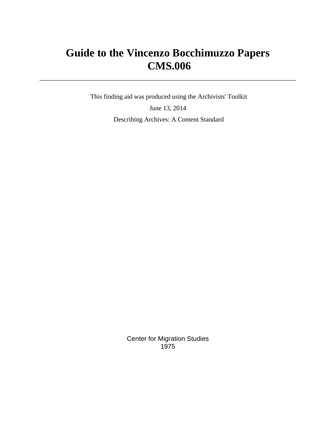# **Guide to the Vincenzo Bocchimuzzo Papers CMS.006**

 This finding aid was produced using the Archivists' Toolkit June 13, 2014 Describing Archives: A Content Standard

> Center for Migration Studies 1975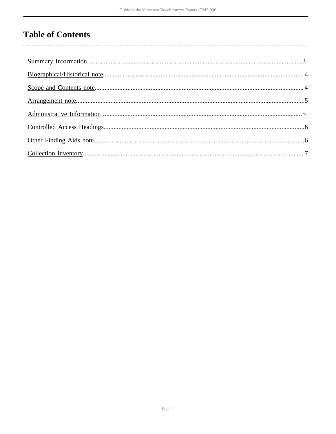## **Table of Contents**

 $\overline{\phantom{a}}$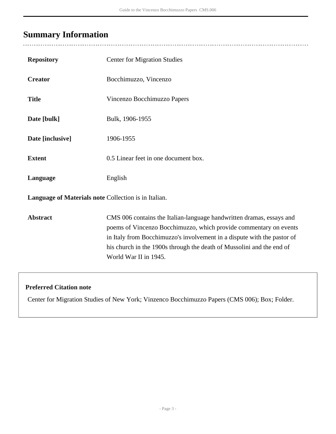## <span id="page-2-0"></span>**Summary Information**

 $\overline{a}$ 

| <b>Repository</b>                                    | <b>Center for Migration Studies</b>                                                                                                                                                                                                                                                                                    |  |  |  |
|------------------------------------------------------|------------------------------------------------------------------------------------------------------------------------------------------------------------------------------------------------------------------------------------------------------------------------------------------------------------------------|--|--|--|
| <b>Creator</b>                                       | Bocchimuzzo, Vincenzo                                                                                                                                                                                                                                                                                                  |  |  |  |
| <b>Title</b>                                         | Vincenzo Bocchimuzzo Papers                                                                                                                                                                                                                                                                                            |  |  |  |
| Date [bulk]                                          | Bulk, 1906-1955                                                                                                                                                                                                                                                                                                        |  |  |  |
| Date [inclusive]                                     | 1906-1955                                                                                                                                                                                                                                                                                                              |  |  |  |
| <b>Extent</b>                                        | 0.5 Linear feet in one document box.                                                                                                                                                                                                                                                                                   |  |  |  |
| Language                                             | English                                                                                                                                                                                                                                                                                                                |  |  |  |
| Language of Materials note Collection is in Italian. |                                                                                                                                                                                                                                                                                                                        |  |  |  |
| <b>Abstract</b>                                      | CMS 006 contains the Italian-language handwritten dramas, essays and<br>poems of Vincenzo Bocchimuzzo, which provide commentary on events<br>in Italy from Bocchimuzzo's involvement in a dispute with the pastor of<br>his church in the 1900s through the death of Mussolini and the end of<br>World War II in 1945. |  |  |  |

### **Preferred Citation note**

Center for Migration Studies of New York; Vinzenco Bocchimuzzo Papers (CMS 006); Box; Folder.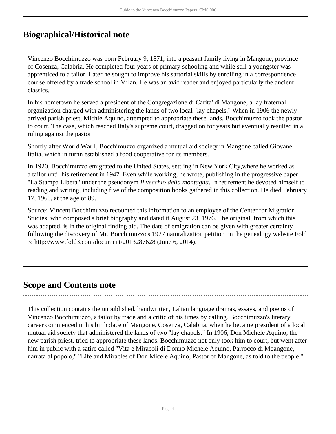## <span id="page-3-0"></span>**Biographical/Historical note**

Vincenzo Bocchimuzzo was born February 9, 1871, into a peasant family living in Mangone, province of Cosenza, Calabria. He completed four years of primary schooling and while still a youngster was apprenticed to a tailor. Later he sought to improve his sartorial skills by enrolling in a correspondence course offered by a trade school in Milan. He was an avid reader and enjoyed particularly the ancient classics.

In his hometown he served a president of the Congregazione di Carita' di Mangone, a lay fraternal organization charged with administering the lands of two local "lay chapels." When in 1906 the newly arrived parish priest, Michle Aquino, attempted to appropriate these lands, Bocchimuzzo took the pastor to court. The case, which reached Italy's supreme court, dragged on for years but eventually resulted in a ruling against the pastor.

Shortly after World War I, Bocchimuzzo organized a mutual aid society in Mangone called Giovane Italia, which in turnn established a food cooperative for its members.

In 1920, Bocchimuzzo emigrated to the United States, settling in New York City,where he worked as a tailor until his retirement in 1947. Even while working, he wrote, publishing in the progressive paper "La Stampa Libera" under the pseudonym *Il vecchio della montagna*. In retirement he devoted himself to reading and writing, including five of the composition books gathered in this collection. He died February 17, 1960, at the age of 89.

Source: Vincent Bocchimuzzo recounted this information to an employee of the Center for Migration Studies, who composed a brief biography and dated it August 23, 1976. The original, from which this was adapted, is in the original finding aid. The date of emigration can be given with greater certainty following the discovery of Mr. Bocchimuzzo's 1927 naturalization petition on the genealogy website Fold 3: http://www.fold3.com/document/2013287628 (June 6, 2014).

### <span id="page-3-1"></span>**Scope and Contents note**

This collection contains the unpublished, handwritten, Italian language dramas, essays, and poems of Vincenzo Bocchimuzzo, a tailor by trade and a critic of his times by calling. Bocchimuzzo's literary career commenced in his birthplace of Mangone, Cosenza, Calabria, when he became president of a local mutual aid society that administered the lands of two "lay chapels." In 1906, Don Michele Aquino, the new parish priest, tried to appropriate these lands. Bocchimuzzo not only took him to court, but went after him in public with a satire called "Vita e Miracoli di Donno Michele Aquino, Parrocco di Moangone, narrata al popolo," "Life and Miracles of Don Micele Aquino, Pastor of Mangone, as told to the people."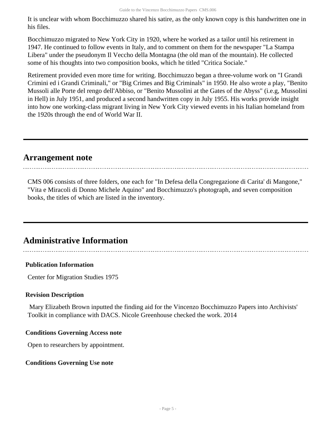It is unclear with whom Bocchimuzzo shared his satire, as the only known copy is this handwritten one in his files.

Bocchimuzzo migrated to New York City in 1920, where he worked as a tailor until his retirement in 1947. He continued to follow events in Italy, and to comment on them for the newspaper "La Stampa Libera" under the pseudonym Il Veccho della Montagna (the old man of the mountain). He collected some of his thoughts into two composition books, which he titled "Critica Sociale."

Retirement provided even more time for writing. Bocchimuzzo began a three-volume work on "I Grandi Crimini ed i Grandi Criminali," or "Big Crimes and Big Criminals" in 1950. He also wrote a play, "Benito Mussoli alle Porte del rengo dell'Abbiso, or "Benito Mussolini at the Gates of the Abyss" (i.e.g, Mussolini in Hell) in July 1951, and produced a second handwritten copy in July 1955. His works provide insight into how one working-class migrant living in New York City viewed events in his Italian homeland from the 1920s through the end of World War II.

### <span id="page-4-0"></span>**Arrangement note**

CMS 006 consists of three folders, one each for "In Defesa della Congregazione di Carita' di Mangone," "Vita e Miracoli di Donno Michele Aquino" and Bocchimuzzo's photograph, and seven composition books, the titles of which are listed in the inventory.

### <span id="page-4-1"></span>**Administrative Information**

#### **Publication Information**

Center for Migration Studies 1975

#### **Revision Description**

 Mary Elizabeth Brown inputted the finding aid for the Vincenzo Bocchimuzzo Papers into Archivists' Toolkit in compliance with DACS. Nicole Greenhouse checked the work. 2014

#### **Conditions Governing Access note**

Open to researchers by appointment.

#### **Conditions Governing Use note**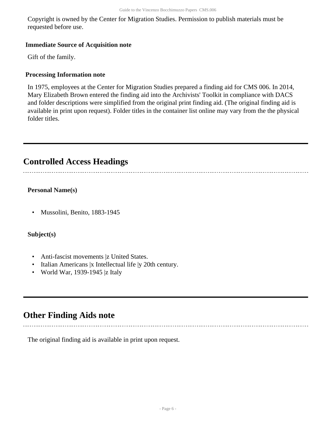Copyright is owned by the Center for Migration Studies. Permission to publish materials must be requested before use.

#### **Immediate Source of Acquisition note**

Gift of the family.

#### **Processing Information note**

In 1975, employees at the Center for Migration Studies prepared a finding aid for CMS 006. In 2014, Mary Elizabeth Brown entered the finding aid into the Archivists' Toolkit in compliance with DACS and folder descriptions were simplified from the original print finding aid. (The original finding aid is available in print upon request). Folder titles in the container list online may vary from the the physical folder titles.

### <span id="page-5-0"></span>**Controlled Access Headings**

#### **Personal Name(s)**

• Mussolini, Benito, 1883-1945

#### **Subject(s)**

- Anti-fascist movements |z United States.
- Italian Americans |x Intellectual life |y 20th century.
- World War, 1939-1945 |z Italy

### <span id="page-5-1"></span>**Other Finding Aids note**

The original finding aid is available in print upon request.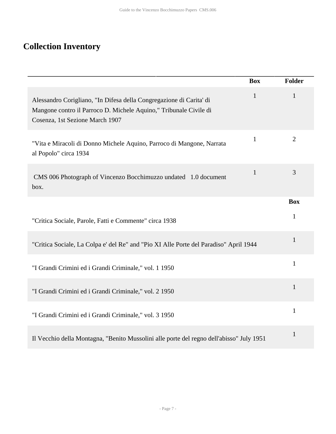# <span id="page-6-0"></span>**Collection Inventory**

|                                                                                                                                                                             | <b>Box</b>   | <b>Folder</b>  |
|-----------------------------------------------------------------------------------------------------------------------------------------------------------------------------|--------------|----------------|
| Alessandro Corigliano, "In Difesa della Congregazione di Carita' di<br>Mangone contro il Parroco D. Michele Aquino," Tribunale Civile di<br>Cosenza, 1st Sezione March 1907 | $\mathbf{1}$ | $\mathbf{1}$   |
| "Vita e Miracoli di Donno Michele Aquino, Parroco di Mangone, Narrata<br>al Popolo" circa 1934                                                                              | $\mathbf{1}$ | $\overline{2}$ |
| CMS 006 Photograph of Vincenzo Bocchimuzzo undated 1.0 document<br>box.                                                                                                     | $\mathbf{1}$ | 3              |
|                                                                                                                                                                             |              | <b>Box</b>     |
| "Critica Sociale, Parole, Fatti e Commente" circa 1938                                                                                                                      |              | 1              |
| "Critica Sociale, La Colpa e' del Re" and "Pio XI Alle Porte del Paradiso" April 1944                                                                                       |              | $\mathbf{1}$   |
| "I Grandi Crimini ed i Grandi Criminale," vol. 1 1950                                                                                                                       |              | $\mathbf{1}$   |
| "I Grandi Crimini ed i Grandi Criminale," vol. 2 1950                                                                                                                       |              | $\mathbf{1}$   |
| "I Grandi Crimini ed i Grandi Criminale," vol. 3 1950                                                                                                                       |              | $\mathbf{1}$   |
| Il Vecchio della Montagna, "Benito Mussolini alle porte del regno dell'abisso" July 1951                                                                                    |              | $\mathbf{1}$   |